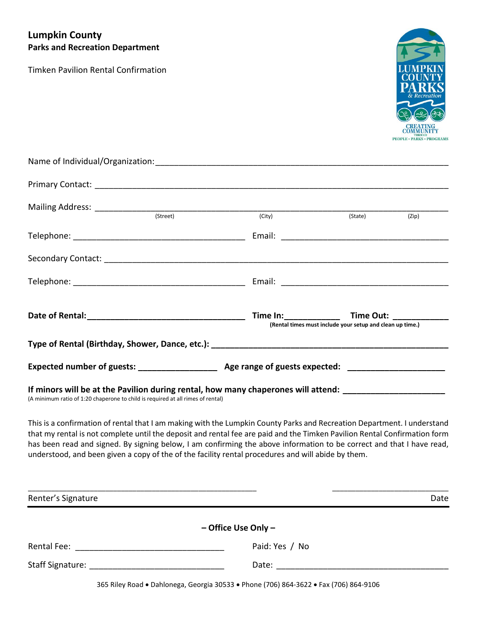# **Lumpkin County Parks and Recreation Department**

Timken Pavilion Rental Confirmation



| (Street)                                                                                                                                                                                      | (City) (State)                                            | (Zip) |
|-----------------------------------------------------------------------------------------------------------------------------------------------------------------------------------------------|-----------------------------------------------------------|-------|
|                                                                                                                                                                                               |                                                           |       |
|                                                                                                                                                                                               |                                                           |       |
|                                                                                                                                                                                               |                                                           |       |
|                                                                                                                                                                                               | (Rental times must include your setup and clean up time.) |       |
|                                                                                                                                                                                               |                                                           |       |
|                                                                                                                                                                                               |                                                           |       |
| If minors will be at the Pavilion during rental, how many chaperones will attend: ________________________<br>(A minimum ratio of 1:20 chaperone to child is required at all rimes of rental) |                                                           |       |

This is a confirmation of rental that I am making with the Lumpkin County Parks and Recreation Department. I understand that my rental is not complete until the deposit and rental fee are paid and the Timken Pavilion Rental Confirmation form has been read and signed. By signing below, I am confirming the above information to be correct and that I have read, understood, and been given a copy of the of the facility rental procedures and will abide by them.

| Renter's Signature        |                                                                                                                | Date |
|---------------------------|----------------------------------------------------------------------------------------------------------------|------|
|                           | $-$ Office Use Only $-$                                                                                        |      |
| Rental Fee: Nental Rental | Paid: Yes / No                                                                                                 |      |
|                           | Date: and the state of the state of the state of the state of the state of the state of the state of the state |      |

365 Riley Road . Dahlonega, Georgia 30533 . Phone (706) 864-3622 . Fax (706) 864-9106